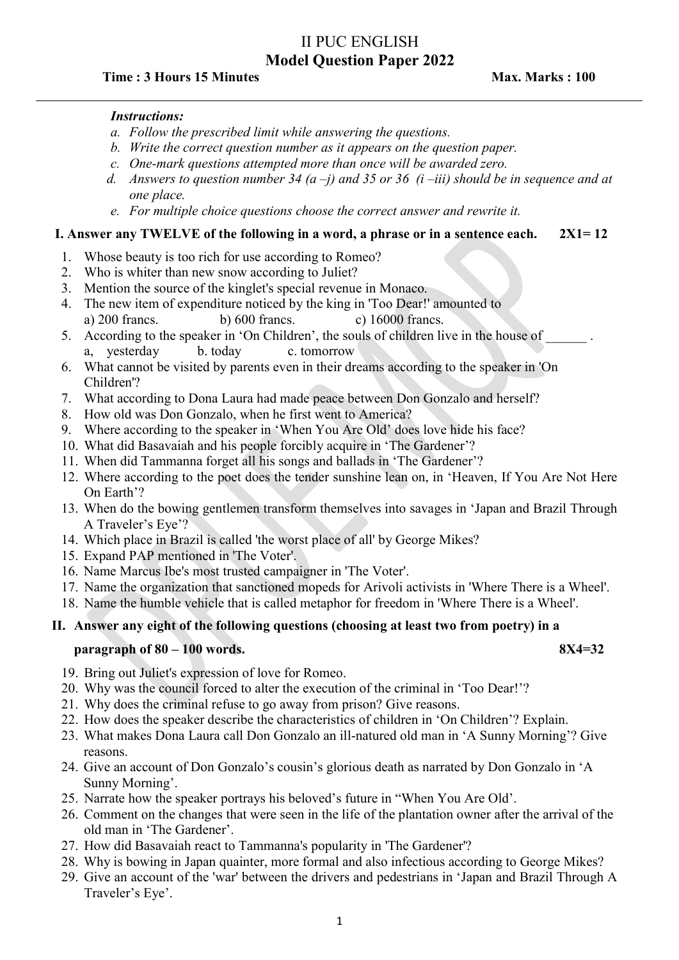# II PUC ENGLISH Model Question Paper 2022

## Time : 3 Hours 15 Minutes **Max. 2008** Max. Marks : 100

#### Instructions:

- a. Follow the prescribed limit while answering the questions.
- b. Write the correct question number as it appears on the question paper.
- c. One-mark questions attempted more than once will be awarded zero.
- d. Answers to question number 34 (a -j) and 35 or 36 (i -iii) should be in sequence and at one place.
- e. For multiple choice questions choose the correct answer and rewrite it.

## I. Answer any TWELVE of the following in a word, a phrase or in a sentence each.  $2X1=12$

- 1. Whose beauty is too rich for use according to Romeo?
- 2. Who is whiter than new snow according to Juliet?
- 3. Mention the source of the kinglet's special revenue in Monaco.
- 4. The new item of expenditure noticed by the king in 'Too Dear!' amounted to a) 200 francs. b) 600 francs. c) 16000 francs.
- 5. According to the speaker in 'On Children', the souls of children live in the house of a, yesterday b. today c. tomorrow
- 6. What cannot be visited by parents even in their dreams according to the speaker in 'On Children'?
- 7. What according to Dona Laura had made peace between Don Gonzalo and herself?
- 8. How old was Don Gonzalo, when he first went to America?
- 9. Where according to the speaker in 'When You Are Old' does love hide his face?
- 10. What did Basavaiah and his people forcibly acquire in 'The Gardener'?
- 11. When did Tammanna forget all his songs and ballads in 'The Gardener'?
- 12. Where according to the poet does the tender sunshine lean on, in 'Heaven, If You Are Not Here On Earth'?
- 13. When do the bowing gentlemen transform themselves into savages in 'Japan and Brazil Through A Traveler's Eye'?
- 14. Which place in Brazil is called 'the worst place of all' by George Mikes?
- 15. Expand PAP mentioned in 'The Voter'.
- 16. Name Marcus Ibe's most trusted campaigner in 'The Voter'.
- 17. Name the organization that sanctioned mopeds for Arivoli activists in 'Where There is a Wheel'.
- 18. Name the humble vehicle that is called metaphor for freedom in 'Where There is a Wheel'.

## II. Answer any eight of the following questions (choosing at least two from poetry) in a

#### $\alpha$  paragraph of 80 – 100 words. 8X4=32

- 19. Bring out Juliet's expression of love for Romeo.
- 20. Why was the council forced to alter the execution of the criminal in 'Too Dear!'?
- 21. Why does the criminal refuse to go away from prison? Give reasons.
- 22. How does the speaker describe the characteristics of children in 'On Children'? Explain.
- 23. What makes Dona Laura call Don Gonzalo an ill-natured old man in 'A Sunny Morning'? Give reasons.
- 24. Give an account of Don Gonzalo's cousin's glorious death as narrated by Don Gonzalo in 'A Sunny Morning'.
- 25. Narrate how the speaker portrays his beloved's future in "When You Are Old'.
- 26. Comment on the changes that were seen in the life of the plantation owner after the arrival of the old man in 'The Gardener'.
- 27. How did Basavaiah react to Tammanna's popularity in 'The Gardener'?
- 28. Why is bowing in Japan quainter, more formal and also infectious according to George Mikes?
- 29. Give an account of the 'war' between the drivers and pedestrians in 'Japan and Brazil Through A Traveler's Eye'.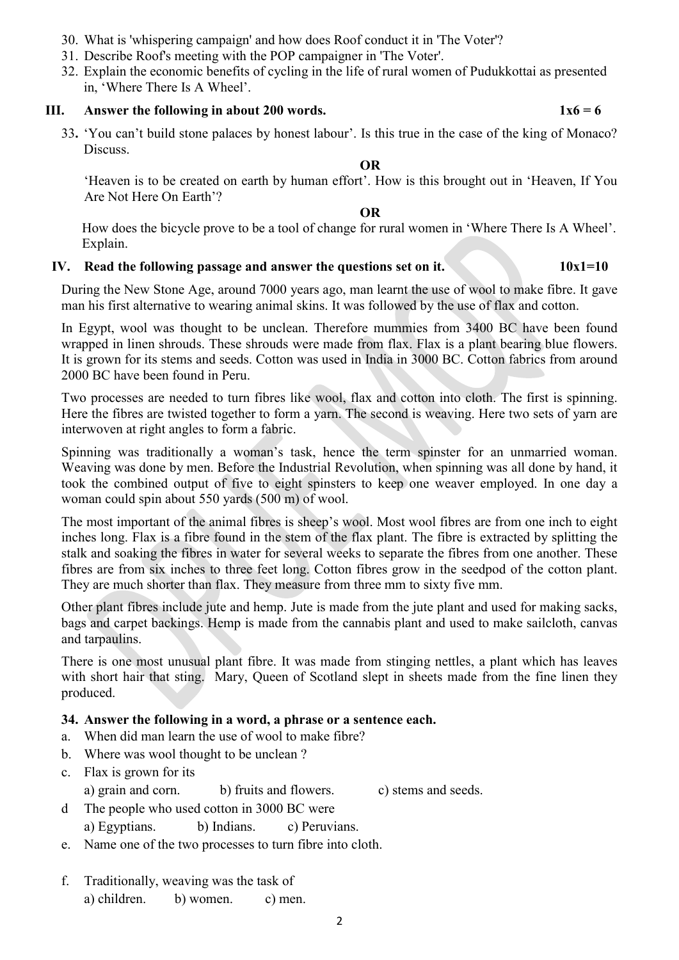- 30. What is 'whispering campaign' and how does Roof conduct it in 'The Voter'?
- 31. Describe Roof's meeting with the POP campaigner in 'The Voter'.
- 32. Explain the economic benefits of cycling in the life of rural women of Pudukkottai as presented in, 'Where There Is A Wheel'.

#### III. Answer the following in about 200 words.  $1x6 = 6$

33. 'You can't build stone palaces by honest labour'. Is this true in the case of the king of Monaco? Discuss.

#### OR

'Heaven is to be created on earth by human effort'. How is this brought out in 'Heaven, If You Are Not Here On Earth'?

### OR

How does the bicycle prove to be a tool of change for rural women in 'Where There Is A Wheel'. Explain.

#### IV. Read the following passage and answer the questions set on it.  $10x1=10$

During the New Stone Age, around 7000 years ago, man learnt the use of wool to make fibre. It gave man his first alternative to wearing animal skins. It was followed by the use of flax and cotton.

In Egypt, wool was thought to be unclean. Therefore mummies from 3400 BC have been found wrapped in linen shrouds. These shrouds were made from flax. Flax is a plant bearing blue flowers. It is grown for its stems and seeds. Cotton was used in India in 3000 BC. Cotton fabrics from around 2000 BC have been found in Peru.

Two processes are needed to turn fibres like wool, flax and cotton into cloth. The first is spinning. Here the fibres are twisted together to form a yarn. The second is weaving. Here two sets of yarn are interwoven at right angles to form a fabric.

Spinning was traditionally a woman's task, hence the term spinster for an unmarried woman. Weaving was done by men. Before the Industrial Revolution, when spinning was all done by hand, it took the combined output of five to eight spinsters to keep one weaver employed. In one day a woman could spin about 550 yards (500 m) of wool.

The most important of the animal fibres is sheep's wool. Most wool fibres are from one inch to eight inches long. Flax is a fibre found in the stem of the flax plant. The fibre is extracted by splitting the stalk and soaking the fibres in water for several weeks to separate the fibres from one another. These fibres are from six inches to three feet long. Cotton fibres grow in the seedpod of the cotton plant. They are much shorter than flax. They measure from three mm to sixty five mm.

Other plant fibres include jute and hemp. Jute is made from the jute plant and used for making sacks, bags and carpet backings. Hemp is made from the cannabis plant and used to make sailcloth, canvas and tarpaulins.

There is one most unusual plant fibre. It was made from stinging nettles, a plant which has leaves with short hair that sting. Mary, Queen of Scotland slept in sheets made from the fine linen they produced.

#### 34. Answer the following in a word, a phrase or a sentence each.

- a. When did man learn the use of wool to make fibre?
- b. Where was wool thought to be unclean ?
- c. Flax is grown for its
	- a) grain and corn. b) fruits and flowers. c) stems and seeds.
- d The people who used cotton in 3000 BC were a) Egyptians. b) Indians. c) Peruvians.
- e. Name one of the two processes to turn fibre into cloth.
- f. Traditionally, weaving was the task of a) children. b) women. c) men.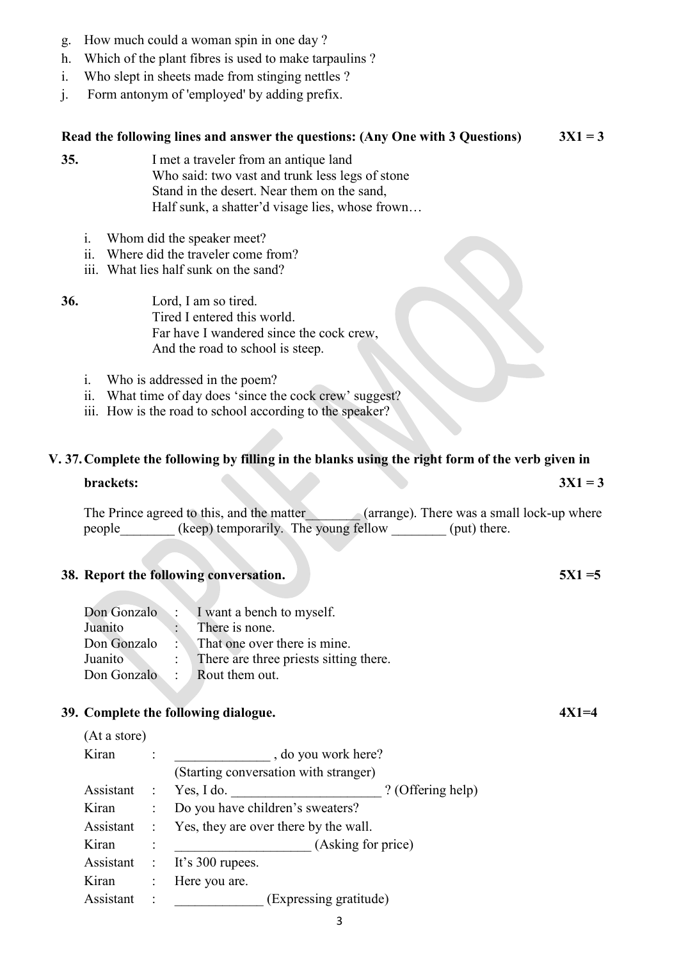- g. How much could a woman spin in one day ?
- h. Which of the plant fibres is used to make tarpaulins ?
- i. Who slept in sheets made from stinging nettles ?
- j. Form antonym of 'employed' by adding prefix.

#### Read the following lines and answer the questions: (Any One with 3 Questions)  $3X1 = 3$

- 35. I met a traveler from an antique land Who said: two vast and trunk less legs of stone Stand in the desert. Near them on the sand, Half sunk, a shatter'd visage lies, whose frown…
	- i. Whom did the speaker meet?
	- ii. Where did the traveler come from?
	- iii. What lies half sunk on the sand?
- 36. Lord, I am so tired. Tired I entered this world. Far have I wandered since the cock crew, And the road to school is steep.
	- i. Who is addressed in the poem?
	- ii. What time of day does 'since the cock crew' suggest?
	- iii. How is the road to school according to the speaker?

## V. 37.Complete the following by filling in the blanks using the right form of the verb given in

#### $brackets:$   $3X1 = 3$

The Prince agreed to this, and the matter (arrange). There was a small lock-up where people (keep) temporarily. The young fellow (put) there.

#### 38. Report the following conversation.  $5X1 = 5$

|             | Don Gonzalo : I want a bench to myself.   |
|-------------|-------------------------------------------|
| Juanito     | There is none.                            |
| Don Gonzalo | $\therefore$ That one over there is mine. |
| Juanito     | : There are three priests sitting there.  |
| Don Gonzalo | $\therefore$ Rout them out.               |
|             |                                           |

#### 39. Complete the following dialogue.  $4X1=4$

| (At a store) |                |                                       |  |  |  |  |
|--------------|----------------|---------------------------------------|--|--|--|--|
| Kiran        |                | , do you work here?                   |  |  |  |  |
|              |                | (Starting conversation with stranger) |  |  |  |  |
| Assistant :  |                | Yes, I do.<br>? (Offering help)       |  |  |  |  |
| Kiran        | $\ddot{\cdot}$ | Do you have children's sweaters?      |  |  |  |  |
| Assistant :  |                | Yes, they are over there by the wall. |  |  |  |  |
| Kiran        |                | (Asking for price)                    |  |  |  |  |
| Assistant :  |                | It's $300$ rupees.                    |  |  |  |  |
| Kiran        | $\ddot{\cdot}$ | Here you are.                         |  |  |  |  |
| Assistant    | $\ddot{\cdot}$ | (Expressing gratitude)                |  |  |  |  |

- 
- 
-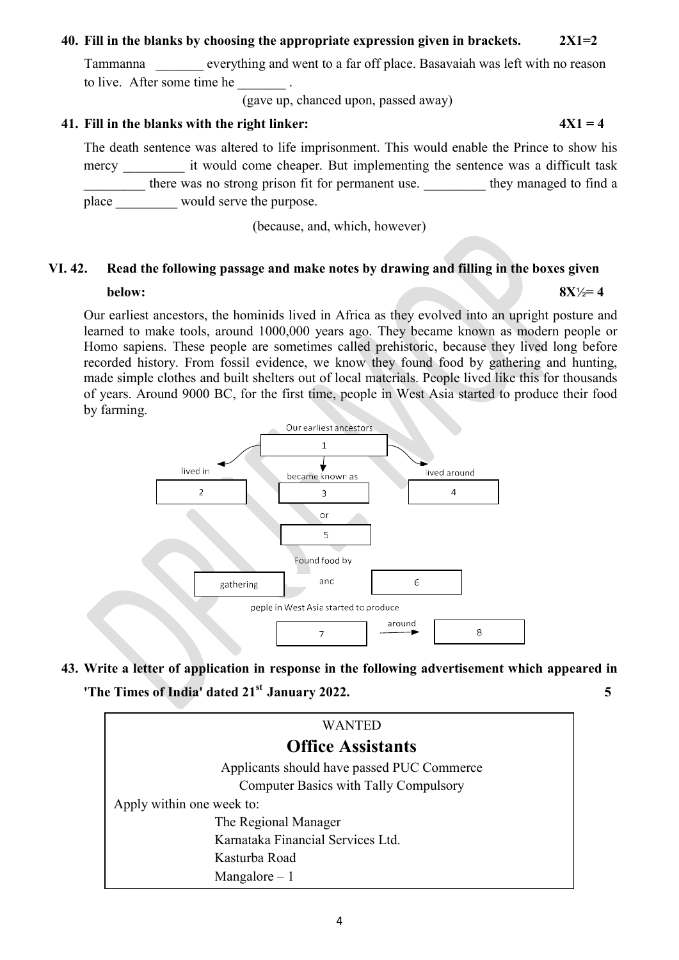### 40. Fill in the blanks by choosing the appropriate expression given in brackets.  $2X1=2$

Tammanna \_\_\_\_\_\_\_ everything and went to a far off place. Basavaiah was left with no reason to live. After some time he  $\qquad \qquad$ .

(gave up, chanced upon, passed away)

## 41. Fill in the blanks with the right linker:  $4X1 = 4$

The death sentence was altered to life imprisonment. This would enable the Prince to show his mercy \_\_\_\_\_\_\_\_\_ it would come cheaper. But implementing the sentence was a difficult task there was no strong prison fit for permanent use. \_\_\_\_\_\_\_\_\_ they managed to find a place \_\_\_\_\_\_\_\_\_\_ would serve the purpose.

(because, and, which, however)

# VI. 42. Read the following passage and make notes by drawing and filling in the boxes given

#### below:  $8X\frac{1}{2} = 4$

Our earliest ancestors, the hominids lived in Africa as they evolved into an upright posture and learned to make tools, around 1000,000 years ago. They became known as modern people or Homo sapiens. These people are sometimes called prehistoric, because they lived long before recorded history. From fossil evidence, we know they found food by gathering and hunting, made simple clothes and built shelters out of local materials. People lived like this for thousands of years. Around 9000 BC, for the first time, people in West Asia started to produce their food by farming.



43. Write a letter of application in response in the following advertisement which appeared in The Times of India' dated  $21<sup>st</sup>$  January 2022.